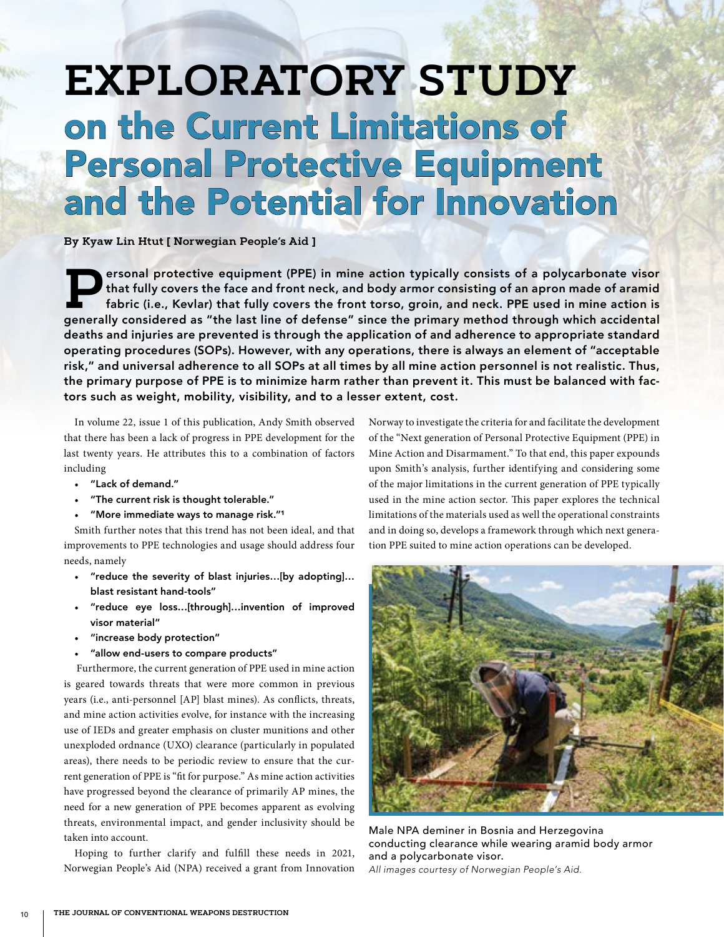# **EXPLORATORY STUDY** on the Current Limitations of Personal Protective Equipment and the Potential for Innovation

**By Kyaw Lin Htut [ Norwegian People's Aid ]**

**P**ersonal protective equipment (PPE) in mine action typically consists of a polycarbonate visor that fully covers the face and front neck, and body armor consisting of an apron made of aramid fabric (i.e., Kevlar) that fully covers the front torso, groin, and neck. PPE used in mine action is generally considered as "the last line of defense" since the primary method through which accidental deaths and injuries are prevented is through the application of and adherence to appropriate standard operating procedures (SOPs). However, with any operations, there is always an element of "acceptable risk," and universal adherence to all SOPs at all times by all mine action personnel is not realistic. Thus, the primary purpose of PPE is to minimize harm rather than prevent it. This must be balanced with factors such as weight, mobility, visibility, and to a lesser extent, cost.

In volume 22, issue 1 of this publication, Andy Smith observed that there has been a lack of progress in PPE development for the last twenty years. He attributes this to a combination of factors including

- "Lack of demand."
- "The current risk is thought tolerable."
- "More immediate ways to manage risk."1

Smith further notes that this trend has not been ideal, and that improvements to PPE technologies and usage should address four needs, namely

- "reduce the severity of blast injuries…[by adopting]… blast resistant hand-tools"
- "reduce eye loss…[through]…invention of improved visor material"
- "increase body protection"
- "allow end-users to compare products"

 Furthermore, the current generation of PPE used in mine action is geared towards threats that were more common in previous years (i.e., anti-personnel [AP] blast mines). As conflicts, threats, and mine action activities evolve, for instance with the increasing use of IEDs and greater emphasis on cluster munitions and other unexploded ordnance (UXO) clearance (particularly in populated areas), there needs to be periodic review to ensure that the current generation of PPE is "fit for purpose." As mine action activities have progressed beyond the clearance of primarily AP mines, the need for a new generation of PPE becomes apparent as evolving threats, environmental impact, and gender inclusivity should be taken into account.

Hoping to further clarify and fulfill these needs in 2021, Norwegian People's Aid (NPA) received a grant from Innovation

Norway to investigate the criteria for and facilitate the development of the "Next generation of Personal Protective Equipment (PPE) in Mine Action and Disarmament." To that end, this paper expounds upon Smith's analysis, further identifying and considering some of the major limitations in the current generation of PPE typically used in the mine action sector. This paper explores the technical limitations of the materials used as well the operational constraints and in doing so, develops a framework through which next generation PPE suited to mine action operations can be developed.



Male NPA deminer in Bosnia and Herzegovina conducting clearance while wearing aramid body armor and a polycarbonate visor. *All images courtesy of Norwegian People's Aid.*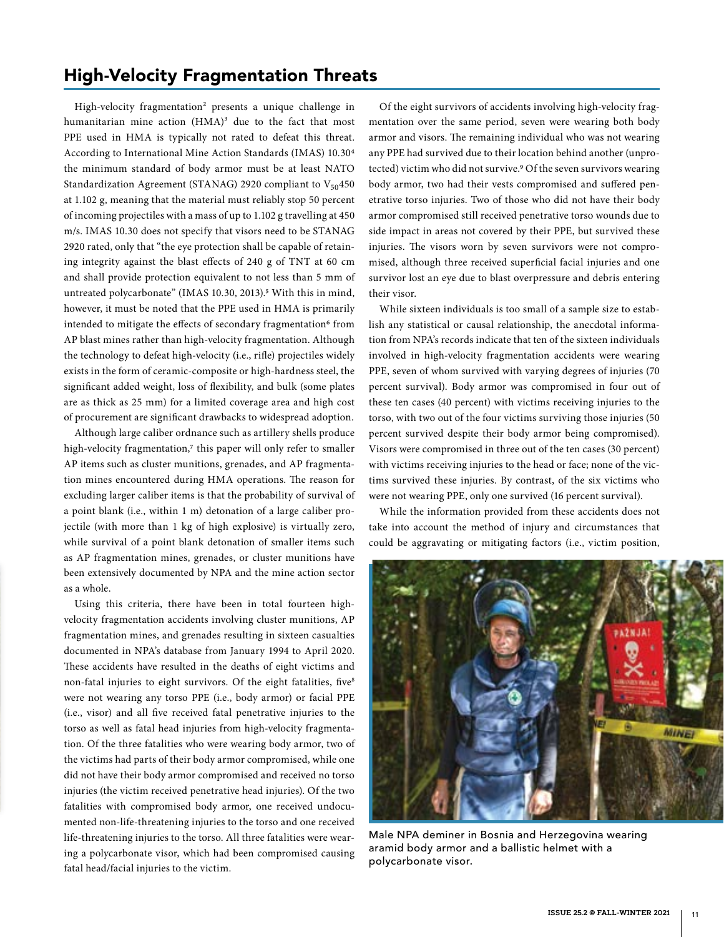#### High-Velocity Fragmentation Threats

High-velocity fragmentation<sup>2</sup> presents a unique challenge in humanitarian mine action  $(HMA)^3$  due to the fact that most PPE used in HMA is typically not rated to defeat this threat. According to International Mine Action Standards (IMAS) 10.304 the minimum standard of body armor must be at least NATO Standardization Agreement (STANAG) 2920 compliant to  $V_{50}$ 450 at 1.102 g, meaning that the material must reliably stop 50 percent of incoming projectiles with a mass of up to 1.102 g travelling at 450 m/s. IMAS 10.30 does not specify that visors need to be STANAG 2920 rated, only that "the eye protection shall be capable of retaining integrity against the blast effects of 240 g of TNT at 60 cm and shall provide protection equivalent to not less than 5 mm of untreated polycarbonate" (IMAS 10.30, 2013).<sup>5</sup> With this in mind, however, it must be noted that the PPE used in HMA is primarily intended to mitigate the effects of secondary fragmentation<sup>6</sup> from AP blast mines rather than high-velocity fragmentation. Although the technology to defeat high-velocity (i.e., rifle) projectiles widely exists in the form of ceramic-composite or high-hardness steel, the significant added weight, loss of flexibility, and bulk (some plates are as thick as 25 mm) for a limited coverage area and high cost of procurement are significant drawbacks to widespread adoption.

Although large caliber ordnance such as artillery shells produce high-velocity fragmentation,7 this paper will only refer to smaller AP items such as cluster munitions, grenades, and AP fragmentation mines encountered during HMA operations. The reason for excluding larger caliber items is that the probability of survival of a point blank (i.e., within 1 m) detonation of a large caliber projectile (with more than 1 kg of high explosive) is virtually zero, while survival of a point blank detonation of smaller items such as AP fragmentation mines, grenades, or cluster munitions have been extensively documented by NPA and the mine action sector as a whole.

Using this criteria, there have been in total fourteen highvelocity fragmentation accidents involving cluster munitions, AP fragmentation mines, and grenades resulting in sixteen casualties documented in NPA's database from January 1994 to April 2020. These accidents have resulted in the deaths of eight victims and non-fatal injuries to eight survivors. Of the eight fatalities, five<sup>8</sup> were not wearing any torso PPE (i.e., body armor) or facial PPE (i.e., visor) and all five received fatal penetrative injuries to the torso as well as fatal head injuries from high-velocity fragmentation. Of the three fatalities who were wearing body armor, two of the victims had parts of their body armor compromised, while one did not have their body armor compromised and received no torso injuries (the victim received penetrative head injuries). Of the two fatalities with compromised body armor, one received undocumented non-life-threatening injuries to the torso and one received life-threatening injuries to the torso. All three fatalities were wearing a polycarbonate visor, which had been compromised causing fatal head/facial injuries to the victim.

Of the eight survivors of accidents involving high-velocity fragmentation over the same period, seven were wearing both body armor and visors. The remaining individual who was not wearing any PPE had survived due to their location behind another (unprotected) victim who did not survive.9 Of the seven survivors wearing body armor, two had their vests compromised and suffered penetrative torso injuries. Two of those who did not have their body armor compromised still received penetrative torso wounds due to side impact in areas not covered by their PPE, but survived these injuries. The visors worn by seven survivors were not compromised, although three received superficial facial injuries and one survivor lost an eye due to blast overpressure and debris entering their visor.

While sixteen individuals is too small of a sample size to establish any statistical or causal relationship, the anecdotal information from NPA's records indicate that ten of the sixteen individuals involved in high-velocity fragmentation accidents were wearing PPE, seven of whom survived with varying degrees of injuries (70 percent survival). Body armor was compromised in four out of these ten cases (40 percent) with victims receiving injuries to the torso, with two out of the four victims surviving those injuries (50 percent survived despite their body armor being compromised). Visors were compromised in three out of the ten cases (30 percent) with victims receiving injuries to the head or face; none of the victims survived these injuries. By contrast, of the six victims who were not wearing PPE, only one survived (16 percent survival).

While the information provided from these accidents does not take into account the method of injury and circumstances that could be aggravating or mitigating factors (i.e., victim position,



Male NPA deminer in Bosnia and Herzegovina wearing aramid body armor and a ballistic helmet with a polycarbonate visor.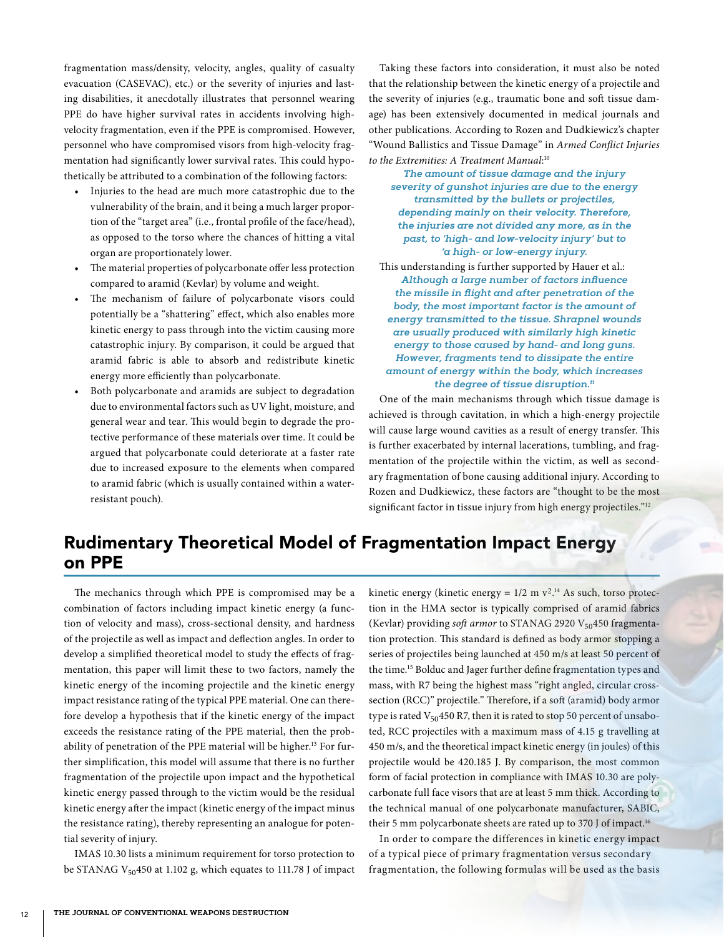fragmentation mass/density, velocity, angles, quality of casualty evacuation (CASEVAC), etc.) or the severity of injuries and lasting disabilities, it anecdotally illustrates that personnel wearing PPE do have higher survival rates in accidents involving highvelocity fragmentation, even if the PPE is compromised. However, personnel who have compromised visors from high-velocity fragmentation had significantly lower survival rates. This could hypothetically be attributed to a combination of the following factors:

- Injuries to the head are much more catastrophic due to the vulnerability of the brain, and it being a much larger proportion of the "target area" (i.e., frontal profile of the face/head), as opposed to the torso where the chances of hitting a vital organ are proportionately lower.
- The material properties of polycarbonate offer less protection compared to aramid (Kevlar) by volume and weight.
- The mechanism of failure of polycarbonate visors could potentially be a "shattering" effect, which also enables more kinetic energy to pass through into the victim causing more catastrophic injury. By comparison, it could be argued that aramid fabric is able to absorb and redistribute kinetic energy more efficiently than polycarbonate.
- Both polycarbonate and aramids are subject to degradation due to environmental factors such as UV light, moisture, and general wear and tear. This would begin to degrade the protective performance of these materials over time. It could be argued that polycarbonate could deteriorate at a faster rate due to increased exposure to the elements when compared to aramid fabric (which is usually contained within a waterresistant pouch).

Taking these factors into consideration, it must also be noted that the relationship between the kinetic energy of a projectile and the severity of injuries (e.g., traumatic bone and soft tissue damage) has been extensively documented in medical journals and other publications. According to Rozen and Dudkiewicz's chapter "Wound Ballistics and Tissue Damage" in *Armed Conflict Injuries to the Extremities: A Treatment Manual*: 10

*The amount of tissue damage and the injury severity of gunshot injuries are due to the energy transmitted by the bullets or projectiles, depending mainly on their velocity. Therefore, the injuries are not divided any more, as in the past, to 'high- and low-velocity injury' but to 'a high- or low-energy injury.* 

This understanding is further supported by Hauer et al.: *Although a large number of factors influence the missile in flight and after penetration of the body, the most important factor is the amount of energy transmitted to the tissue. Shrapnel wounds are usually produced with similarly high kinetic energy to those caused by hand- and long guns. However, fragments tend to dissipate the entire amount of energy within the body, which increases the degree of tissue disruption.11*

One of the main mechanisms through which tissue damage is achieved is through cavitation, in which a high-energy projectile will cause large wound cavities as a result of energy transfer. This is further exacerbated by internal lacerations, tumbling, and fragmentation of the projectile within the victim, as well as secondary fragmentation of bone causing additional injury. According to Rozen and Dudkiewicz, these factors are "thought to be the most significant factor in tissue injury from high energy projectiles."<sup>12</sup>

## Rudimentary Theoretical Model of Fragmentation Impact Energy on PPE

The mechanics through which PPE is compromised may be a combination of factors including impact kinetic energy (a function of velocity and mass), cross-sectional density, and hardness of the projectile as well as impact and deflection angles. In order to develop a simplified theoretical model to study the effects of fragmentation, this paper will limit these to two factors, namely the kinetic energy of the incoming projectile and the kinetic energy impact resistance rating of the typical PPE material. One can therefore develop a hypothesis that if the kinetic energy of the impact exceeds the resistance rating of the PPE material, then the probability of penetration of the PPE material will be higher.<sup>13</sup> For further simplification, this model will assume that there is no further fragmentation of the projectile upon impact and the hypothetical kinetic energy passed through to the victim would be the residual kinetic energy after the impact (kinetic energy of the impact minus the resistance rating), thereby representing an analogue for potential severity of injury.

IMAS 10.30 lists a minimum requirement for torso protection to be STANAG V<sub>50</sub>450 at 1.102 g, which equates to 111.78 J of impact kinetic energy (kinetic energy =  $1/2$  m  $v^2$ .<sup>14</sup> As such, torso protection in the HMA sector is typically comprised of aramid fabrics (Kevlar) providing *soft armor* to STANAG 2920 V<sub>50</sub>450 fragmentation protection. This standard is defined as body armor stopping a series of projectiles being launched at 450 m/s at least 50 percent of the time.15 Bolduc and Jager further define fragmentation types and mass, with R7 being the highest mass "right angled, circular crosssection (RCC)" projectile." Therefore, if a soft (aramid) body armor type is rated  $V_{50}$ 450 R7, then it is rated to stop 50 percent of unsaboted, RCC projectiles with a maximum mass of 4.15 g travelling at 450 m/s, and the theoretical impact kinetic energy (in joules) of this projectile would be 420.185 J. By comparison, the most common form of facial protection in compliance with IMAS 10.30 are polycarbonate full face visors that are at least 5 mm thick. According to the technical manual of one polycarbonate manufacturer, SABIC, their 5 mm polycarbonate sheets are rated up to 370 J of impact.16

In order to compare the differences in kinetic energy impact of a typical piece of primary fragmentation versus secondary fragmentation, the following formulas will be used as the basis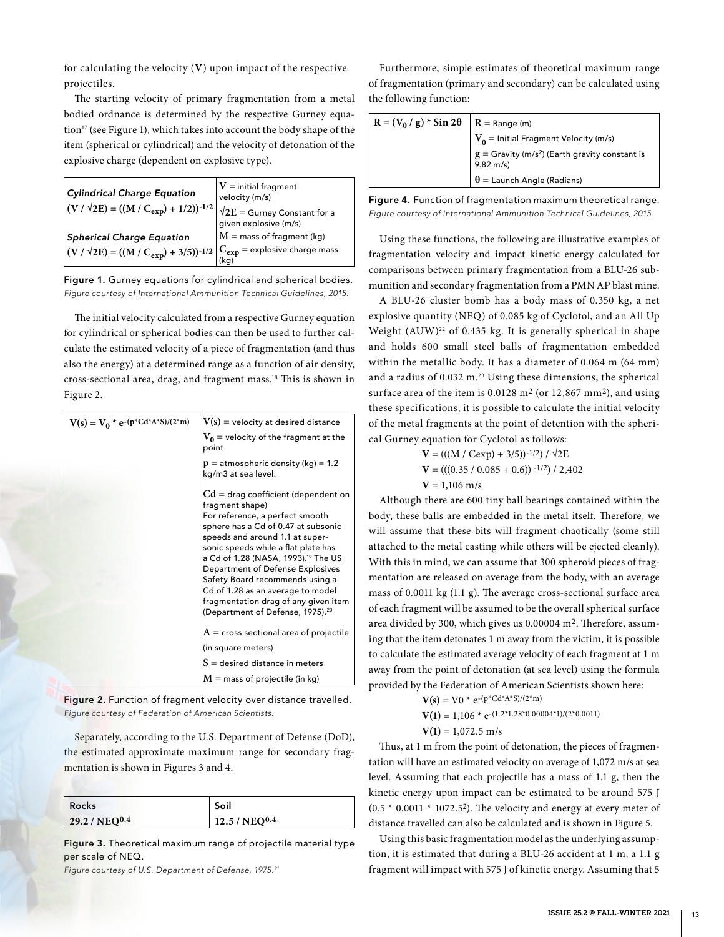for calculating the velocity (**V**) upon impact of the respective projectiles.

The starting velocity of primary fragmentation from a metal bodied ordnance is determined by the respective Gurney equation<sup>17</sup> (see Figure 1), which takes into account the body shape of the item (spherical or cylindrical) and the velocity of detonation of the explosive charge (dependent on explosive type).

| Cylindrical Charge Equation<br>$ (V / \sqrt{2E}) = ((M / C_{exp}) + 1/2))^{-1/2} $                                         | $V =$ initial fragment<br>velocity (m/s)<br>$\sqrt{2E}$ = Gurney Constant for a<br>given explosive (m/s) |
|----------------------------------------------------------------------------------------------------------------------------|----------------------------------------------------------------------------------------------------------|
| <b>Spherical Charge Equation</b>                                                                                           | $M =$ mass of fragment (kg)                                                                              |
| $\left  \left( V\,/\,\sqrt{2E} \right) = ((M\,/\,C_{exp}) + 3/5))^{-1/2} \right _{(kg)}^{C_{exp}}$ = explosive charge mass |                                                                                                          |

Figure 1. Gurney equations for cylindrical and spherical bodies. *Figure courtesy of International Ammunition Technical Guidelines, 2015.*

The initial velocity calculated from a respective Gurney equation for cylindrical or spherical bodies can then be used to further calculate the estimated velocity of a piece of fragmentation (and thus also the energy) at a determined range as a function of air density, cross-sectional area, drag, and fragment mass.18 This is shown in Figure 2.

| $V(s) = V_0 * e^{-(p^*Cd^*A^*S)/(2^*m)}$ | $V(s)$ = velocity at desired distance                                                                                                                                                                                                                                                                                                                                                                                                                               |
|------------------------------------------|---------------------------------------------------------------------------------------------------------------------------------------------------------------------------------------------------------------------------------------------------------------------------------------------------------------------------------------------------------------------------------------------------------------------------------------------------------------------|
|                                          | $V_0$ = velocity of the fragment at the<br>point                                                                                                                                                                                                                                                                                                                                                                                                                    |
|                                          | $p =$ atmospheric density (kg) = 1.2<br>kg/m3 at sea level.                                                                                                                                                                                                                                                                                                                                                                                                         |
|                                          | $Cd = drag coefficient (dependent on$<br>fragment shape)<br>For reference, a perfect smooth<br>sphere has a Cd of 0.47 at subsonic<br>speeds and around 1.1 at super-<br>sonic speeds while a flat plate has<br>a Cd of 1.28 (NASA, 1993). <sup>19</sup> The US<br>Department of Defense Explosives<br>Safety Board recommends using a<br>Cd of 1.28 as an average to model<br>fragmentation drag of any given item<br>(Department of Defense, 1975). <sup>20</sup> |
|                                          | $A =$ cross sectional area of projectile                                                                                                                                                                                                                                                                                                                                                                                                                            |
|                                          | (in square meters)                                                                                                                                                                                                                                                                                                                                                                                                                                                  |
|                                          | $S =$ desired distance in meters                                                                                                                                                                                                                                                                                                                                                                                                                                    |
|                                          | $M =$ mass of projectile (in kg)                                                                                                                                                                                                                                                                                                                                                                                                                                    |

Figure 2. Function of fragment velocity over distance travelled. *Figure courtesy of Federation of American Scientists.*

Separately, according to the U.S. Department of Defense (DoD), the estimated approximate maximum range for secondary fragmentation is shown in Figures 3 and 4.

| Rocks                     | Soil               |
|---------------------------|--------------------|
| 29.2 / NEQ <sup>0.4</sup> | $12.5 / NEQ^{0.4}$ |

Figure 3. Theoretical maximum range of projectile material type per scale of NEQ.

*Figure courtesy of U.S. Department of Defense, 1975.21*

Furthermore, simple estimates of theoretical maximum range of fragmentation (primary and secondary) can be calculated using the following function:

| $R = (V_0 / g) * Sin 2\theta   R = Range (m)$ | $\mid V_0 =$ Initial Fragment Velocity (m/s) |
|-----------------------------------------------|----------------------------------------------|
|                                               |                                              |
|                                               | $\theta$ = Launch Angle (Radians)            |

Figure 4. Function of fragmentation maximum theoretical range. *Figure courtesy of International Ammunition Technical Guidelines, 2015.*

Using these functions, the following are illustrative examples of fragmentation velocity and impact kinetic energy calculated for comparisons between primary fragmentation from a BLU-26 submunition and secondary fragmentation from a PMN AP blast mine.

A BLU-26 cluster bomb has a body mass of 0.350 kg, a net explosive quantity (NEQ) of 0.085 kg of Cyclotol, and an All Up Weight  $(AUW)^{22}$  of 0.435 kg. It is generally spherical in shape and holds 600 small steel balls of fragmentation embedded within the metallic body. It has a diameter of 0.064 m (64 mm) and a radius of 0.032 m.<sup>23</sup> Using these dimensions, the spherical surface area of the item is  $0.0128$  m<sup>2</sup> (or 12,867 mm<sup>2</sup>), and using these specifications, it is possible to calculate the initial velocity of the metal fragments at the point of detention with the spherical Gurney equation for Cyclotol as follows:

> $V = (((M / Cexp) + 3/5))^{-1/2}) / \sqrt{2E}$  $V = (((0.35 / 0.085 + 0.6))$ <sup>-1/2</sup> $)/2,402$  $V = 1,106$  m/s

Although there are 600 tiny ball bearings contained within the body, these balls are embedded in the metal itself. Therefore, we will assume that these bits will fragment chaotically (some still attached to the metal casting while others will be ejected cleanly). With this in mind, we can assume that 300 spheroid pieces of fragmentation are released on average from the body, with an average mass of 0.0011 kg (1.1 g). The average cross-sectional surface area of each fragment will be assumed to be the overall spherical surface area divided by 300, which gives us 0.00004 m2. Therefore, assuming that the item detonates 1 m away from the victim, it is possible to calculate the estimated average velocity of each fragment at 1 m away from the point of detonation (at sea level) using the formula provided by the Federation of American Scientists shown here:

- $V(s) = V0 * e^{-(p*C d*A*S)/(2*m)}$ 
	- $V(1) = 1,106 * e^{-(1.2 * 1.28 * 0.00004 * 1)/(2 * 0.0011)}$
	- $V(1) = 1.072.5$  m/s

Thus, at 1 m from the point of detonation, the pieces of fragmentation will have an estimated velocity on average of 1,072 m/s at sea level. Assuming that each projectile has a mass of 1.1 g, then the kinetic energy upon impact can be estimated to be around 575 J  $(0.5 * 0.0011 * 1072.52)$ . The velocity and energy at every meter of distance travelled can also be calculated and is shown in Figure 5.

Using this basic fragmentation model as the underlying assumption, it is estimated that during a BLU-26 accident at 1 m, a 1.1 g fragment will impact with 575 J of kinetic energy. Assuming that 5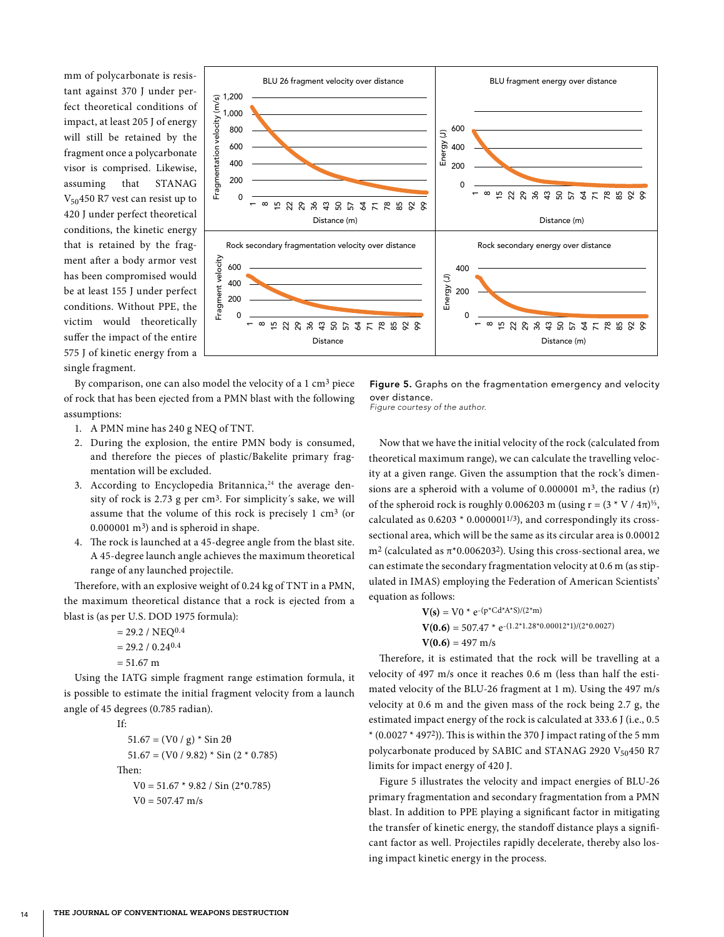mm of polycarbonate is resistant against 370 J under perfect theoretical conditions of impact, at least 205 J of energy will still be retained by the fragment once a polycarbonate visor is comprised. Likewise, assuming that STANAG  $V_{50}$ 450 R7 vest can resist up to 420 J under perfect theoretical conditions, the kinetic energy that is retained by the fragment after a body armor vest has been compromised would be at least 155 J under perfect conditions. Without PPE, the victim would theoretically suffer the impact of the entire 575 J of kinetic energy from a single fragment.



By comparison, one can also model the velocity of a 1 cm3 piece of rock that has been ejected from a PMN blast with the following assumptions:

- 1. A PMN mine has 240 g NEQ of TNT.
- 2. During the explosion, the entire PMN body is consumed, and therefore the pieces of plastic/Bakelite primary fragmentation will be excluded.
- 3. According to Encyclopedia Britannica,<sup>24</sup> the average density of rock is 2.73 g per cm<sup>3</sup>. For simplicity's sake, we will assume that the volume of this rock is precisely 1 cm3 (or 0.000001 m3) and is spheroid in shape.
- 4. The rock is launched at a 45-degree angle from the blast site. A 45-degree launch angle achieves the maximum theoretical range of any launched projectile.

Therefore, with an explosive weight of 0.24 kg of TNT in a PMN, the maximum theoretical distance that a rock is ejected from a blast is (as per U.S. DOD 1975 formula):

- $= 29.2 / NEQ<sup>0.4</sup>$  $= 29.2 / 0.2404$
- $= 51.67 \text{ m}$

Using the IATG simple fragment range estimation formula, it is possible to estimate the initial fragment velocity from a launch angle of 45 degrees (0.785 radian).

If:  $51.67 = (V0 / g) * Sin 2\theta$  $51.67 = (V0 / 9.82) * Sin (2 * 0.785)$ Then:  $V0 = 51.67 * 9.82 / Sin(2*0.785)$  $V0 = 507.47$  m/s

Figure 5. Graphs on the fragmentation emergency and velocity over distance.

*Figure courtesy of the author.*

Now that we have the initial velocity of the rock (calculated from theoretical maximum range), we can calculate the travelling velocity at a given range. Given the assumption that the rock's dimensions are a spheroid with a volume of  $0.000001$  m<sup>3</sup>, the radius (r) of the spheroid rock is roughly 0.006203 m (using r =  $(3 \times V / 4\pi)^{1/3}$ , calculated as  $0.6203 * 0.000001^{1/3}$ ), and correspondingly its crosssectional area, which will be the same as its circular area is 0.00012 m<sup>2</sup> (calculated as  $π*0.006203<sup>2</sup>$ ). Using this cross-sectional area, we can estimate the secondary fragmentation velocity at 0.6 m (as stipulated in IMAS) employing the Federation of American Scientists' equation as follows:

$$
V(s) = V0 * e^{-(p * Cd * A * S)/(2 * m)}
$$
  
\n
$$
V(0.6) = 507.47 * e^{-(1.2 * 1.28 * 0.00012 * 1)/(2 * 0.0027)}
$$
  
\n
$$
V(0.6) = 497 m/s
$$

Therefore, it is estimated that the rock will be travelling at a velocity of 497 m/s once it reaches 0.6 m (less than half the estimated velocity of the BLU-26 fragment at 1 m). Using the 497 m/s velocity at 0.6 m and the given mass of the rock being 2.7 g, the estimated impact energy of the rock is calculated at 333.6 J (i.e., 0.5  $*(0.0027 * 4972)$ ). This is within the 370 J impact rating of the 5 mm polycarbonate produced by SABIC and STANAG 2920 V<sub>50</sub>450 R7 limits for impact energy of 420 J.

Figure 5 illustrates the velocity and impact energies of BLU-26 primary fragmentation and secondary fragmentation from a PMN blast. In addition to PPE playing a significant factor in mitigating the transfer of kinetic energy, the standoff distance plays a significant factor as well. Projectiles rapidly decelerate, thereby also losing impact kinetic energy in the process.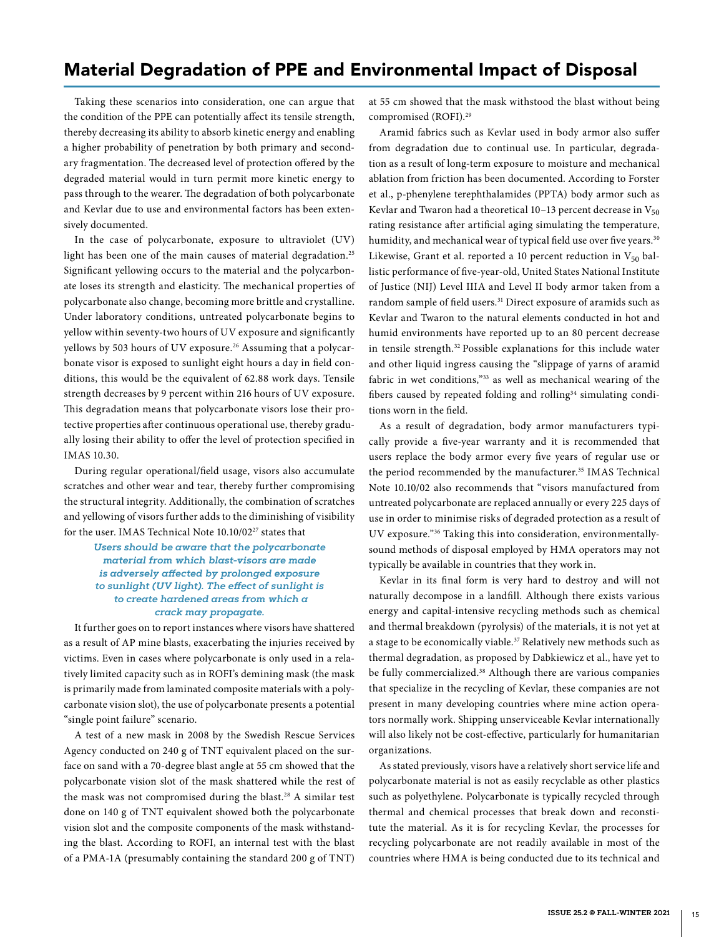### Material Degradation of PPE and Environmental Impact of Disposal

Taking these scenarios into consideration, one can argue that the condition of the PPE can potentially affect its tensile strength, thereby decreasing its ability to absorb kinetic energy and enabling a higher probability of penetration by both primary and secondary fragmentation. The decreased level of protection offered by the degraded material would in turn permit more kinetic energy to pass through to the wearer. The degradation of both polycarbonate and Kevlar due to use and environmental factors has been extensively documented.

In the case of polycarbonate, exposure to ultraviolet (UV) light has been one of the main causes of material degradation.<sup>25</sup> Significant yellowing occurs to the material and the polycarbonate loses its strength and elasticity. The mechanical properties of polycarbonate also change, becoming more brittle and crystalline. Under laboratory conditions, untreated polycarbonate begins to yellow within seventy-two hours of UV exposure and significantly yellows by 503 hours of UV exposure.<sup>26</sup> Assuming that a polycarbonate visor is exposed to sunlight eight hours a day in field conditions, this would be the equivalent of 62.88 work days. Tensile strength decreases by 9 percent within 216 hours of UV exposure. This degradation means that polycarbonate visors lose their protective properties after continuous operational use, thereby gradually losing their ability to offer the level of protection specified in IMAS 10.30.

During regular operational/field usage, visors also accumulate scratches and other wear and tear, thereby further compromising the structural integrity. Additionally, the combination of scratches and yellowing of visors further adds to the diminishing of visibility for the user. IMAS Technical Note 10.10/02<sup>27</sup> states that

> *Users should be aware that the polycarbonate material from which blast-visors are made is adversely affected by prolonged exposure to sunlight (UV light). The effect of sunlight is to create hardened areas from which a crack may propagate.*

It further goes on to report instances where visors have shattered as a result of AP mine blasts, exacerbating the injuries received by victims. Even in cases where polycarbonate is only used in a relatively limited capacity such as in ROFI's demining mask (the mask is primarily made from laminated composite materials with a polycarbonate vision slot), the use of polycarbonate presents a potential "single point failure" scenario.

A test of a new mask in 2008 by the Swedish Rescue Services Agency conducted on 240 g of TNT equivalent placed on the surface on sand with a 70-degree blast angle at 55 cm showed that the polycarbonate vision slot of the mask shattered while the rest of the mask was not compromised during the blast.28 A similar test done on 140 g of TNT equivalent showed both the polycarbonate vision slot and the composite components of the mask withstanding the blast. According to ROFI, an internal test with the blast of a PMA-1A (presumably containing the standard 200 g of TNT)

at 55 cm showed that the mask withstood the blast without being compromised (ROFI).29

Aramid fabrics such as Kevlar used in body armor also suffer from degradation due to continual use. In particular, degradation as a result of long-term exposure to moisture and mechanical ablation from friction has been documented. According to Forster et al., p-phenylene terephthalamides (PPTA) body armor such as Kevlar and Twaron had a theoretical 10–13 percent decrease in  $V_{50}$ rating resistance after artificial aging simulating the temperature, humidity, and mechanical wear of typical field use over five years.<sup>30</sup> Likewise, Grant et al. reported a 10 percent reduction in  $V_{50}$  ballistic performance of five-year-old, United States National Institute of Justice (NIJ) Level IIIA and Level II body armor taken from a random sample of field users.<sup>31</sup> Direct exposure of aramids such as Kevlar and Twaron to the natural elements conducted in hot and humid environments have reported up to an 80 percent decrease in tensile strength.32 Possible explanations for this include water and other liquid ingress causing the "slippage of yarns of aramid fabric in wet conditions,"33 as well as mechanical wearing of the fibers caused by repeated folding and rolling<sup>34</sup> simulating conditions worn in the field.

As a result of degradation, body armor manufacturers typically provide a five-year warranty and it is recommended that users replace the body armor every five years of regular use or the period recommended by the manufacturer.<sup>35</sup> IMAS Technical Note 10.10/02 also recommends that "visors manufactured from untreated polycarbonate are replaced annually or every 225 days of use in order to minimise risks of degraded protection as a result of UV exposure."36 Taking this into consideration, environmentallysound methods of disposal employed by HMA operators may not typically be available in countries that they work in.

Kevlar in its final form is very hard to destroy and will not naturally decompose in a landfill. Although there exists various energy and capital-intensive recycling methods such as chemical and thermal breakdown (pyrolysis) of the materials, it is not yet at a stage to be economically viable.<sup>37</sup> Relatively new methods such as thermal degradation, as proposed by Dabkiewicz et al., have yet to be fully commercialized.<sup>38</sup> Although there are various companies that specialize in the recycling of Kevlar, these companies are not present in many developing countries where mine action operators normally work. Shipping unserviceable Kevlar internationally will also likely not be cost-effective, particularly for humanitarian organizations.

As stated previously, visors have a relatively short service life and polycarbonate material is not as easily recyclable as other plastics such as polyethylene. Polycarbonate is typically recycled through thermal and chemical processes that break down and reconstitute the material. As it is for recycling Kevlar, the processes for recycling polycarbonate are not readily available in most of the countries where HMA is being conducted due to its technical and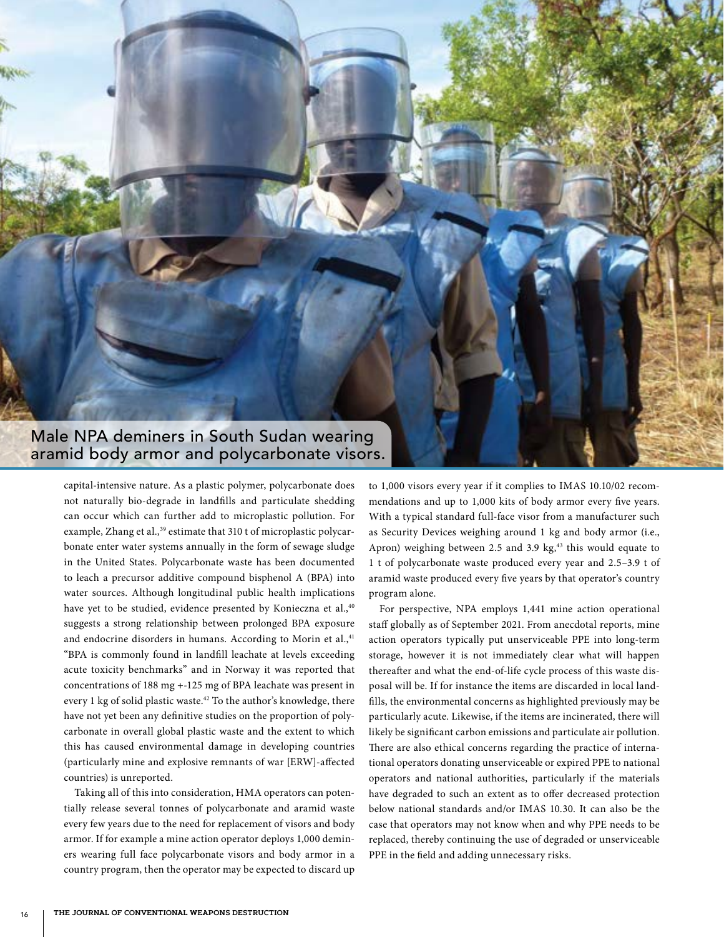

capital-intensive nature. As a plastic polymer, polycarbonate does not naturally bio-degrade in landfills and particulate shedding can occur which can further add to microplastic pollution. For example, Zhang et al.,<sup>39</sup> estimate that 310 t of microplastic polycarbonate enter water systems annually in the form of sewage sludge in the United States. Polycarbonate waste has been documented to leach a precursor additive compound bisphenol A (BPA) into water sources. Although longitudinal public health implications have yet to be studied, evidence presented by Konieczna et al.,<sup>40</sup> suggests a strong relationship between prolonged BPA exposure and endocrine disorders in humans. According to Morin et al.,41 "BPA is commonly found in landfill leachate at levels exceeding acute toxicity benchmarks" and in Norway it was reported that concentrations of 188 mg +-125 mg of BPA leachate was present in every 1 kg of solid plastic waste.<sup>42</sup> To the author's knowledge, there have not yet been any definitive studies on the proportion of polycarbonate in overall global plastic waste and the extent to which this has caused environmental damage in developing countries (particularly mine and explosive remnants of war [ERW]-affected countries) is unreported.

Taking all of this into consideration, HMA operators can potentially release several tonnes of polycarbonate and aramid waste every few years due to the need for replacement of visors and body armor. If for example a mine action operator deploys 1,000 deminers wearing full face polycarbonate visors and body armor in a country program, then the operator may be expected to discard up to 1,000 visors every year if it complies to IMAS 10.10/02 recommendations and up to 1,000 kits of body armor every five years. With a typical standard full-face visor from a manufacturer such as Security Devices weighing around 1 kg and body armor (i.e., Apron) weighing between 2.5 and 3.9 kg, $43$  this would equate to 1 t of polycarbonate waste produced every year and 2.5–3.9 t of aramid waste produced every five years by that operator's country program alone.

For perspective, NPA employs 1,441 mine action operational staff globally as of September 2021. From anecdotal reports, mine action operators typically put unserviceable PPE into long-term storage, however it is not immediately clear what will happen thereafter and what the end-of-life cycle process of this waste disposal will be. If for instance the items are discarded in local landfills, the environmental concerns as highlighted previously may be particularly acute. Likewise, if the items are incinerated, there will likely be significant carbon emissions and particulate air pollution. There are also ethical concerns regarding the practice of international operators donating unserviceable or expired PPE to national operators and national authorities, particularly if the materials have degraded to such an extent as to offer decreased protection below national standards and/or IMAS 10.30. It can also be the case that operators may not know when and why PPE needs to be replaced, thereby continuing the use of degraded or unserviceable PPE in the field and adding unnecessary risks.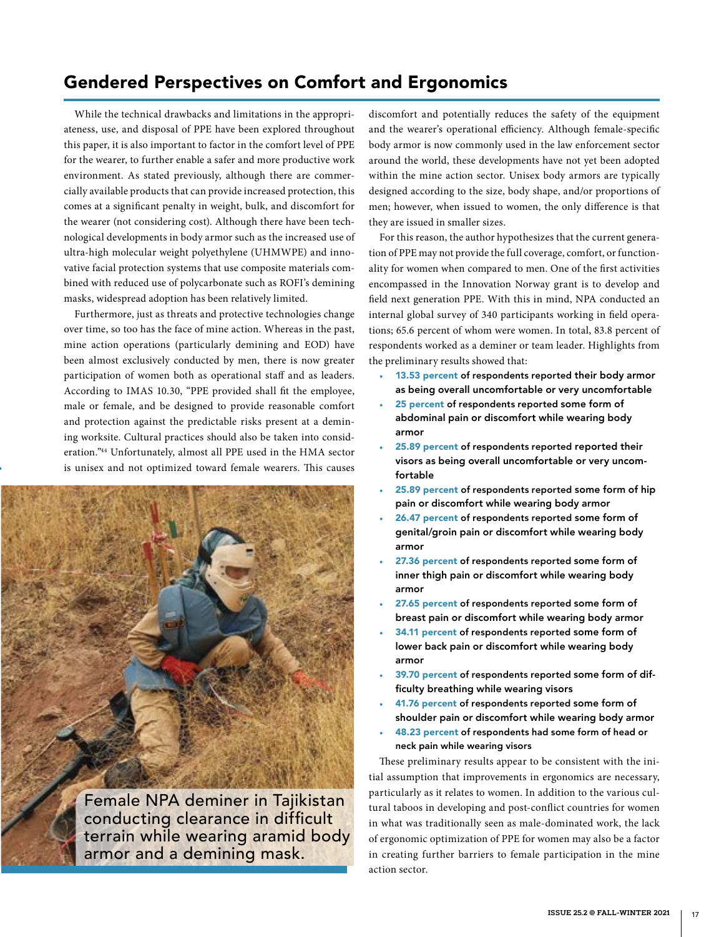# Gendered Perspectives on Comfort and Ergonomics

While the technical drawbacks and limitations in the appropriateness, use, and disposal of PPE have been explored throughout this paper, it is also important to factor in the comfort level of PPE for the wearer, to further enable a safer and more productive work environment. As stated previously, although there are commercially available products that can provide increased protection, this comes at a significant penalty in weight, bulk, and discomfort for the wearer (not considering cost). Although there have been technological developments in body armor such as the increased use of ultra-high molecular weight polyethylene (UHMWPE) and innovative facial protection systems that use composite materials combined with reduced use of polycarbonate such as ROFI's demining masks, widespread adoption has been relatively limited.

Furthermore, just as threats and protective technologies change over time, so too has the face of mine action. Whereas in the past, mine action operations (particularly demining and EOD) have been almost exclusively conducted by men, there is now greater participation of women both as operational staff and as leaders. According to IMAS 10.30, "PPE provided shall fit the employee, male or female, and be designed to provide reasonable comfort and protection against the predictable risks present at a demining worksite. Cultural practices should also be taken into consideration."44 Unfortunately, almost all PPE used in the HMA sector is unisex and not optimized toward female wearers. This causes



Female NPA deminer in Tajikistan conducting clearance in difficult terrain while wearing aramid body armor and a demining mask.

discomfort and potentially reduces the safety of the equipment and the wearer's operational efficiency. Although female-specific body armor is now commonly used in the law enforcement sector around the world, these developments have not yet been adopted within the mine action sector. Unisex body armors are typically designed according to the size, body shape, and/or proportions of men; however, when issued to women, the only difference is that they are issued in smaller sizes.

For this reason, the author hypothesizes that the current generation of PPE may not provide the full coverage, comfort, or functionality for women when compared to men. One of the first activities encompassed in the Innovation Norway grant is to develop and field next generation PPE. With this in mind, NPA conducted an internal global survey of 340 participants working in field operations; 65.6 percent of whom were women. In total, 83.8 percent of respondents worked as a deminer or team leader. Highlights from the preliminary results showed that:

- 13.53 percent of respondents reported their body armor as being overall uncomfortable or very uncomfortable
- 25 percent of respondents reported some form of abdominal pain or discomfort while wearing body armor
- 25.89 percent of respondents reported reported their visors as being overall uncomfortable or very uncomfortable
- 25.89 percent of respondents reported some form of hip pain or discomfort while wearing body armor
- 26.47 percent of respondents reported some form of genital/groin pain or discomfort while wearing body armor
- 27.36 percent of respondents reported some form of inner thigh pain or discomfort while wearing body armor
- 27.65 percent of respondents reported some form of breast pain or discomfort while wearing body armor
- 34.11 percent of respondents reported some form of lower back pain or discomfort while wearing body armor
- 39.70 percent of respondents reported some form of difficulty breathing while wearing visors
- 41.76 percent of respondents reported some form of shoulder pain or discomfort while wearing body armor
- 48.23 percent of respondents had some form of head or neck pain while wearing visors

These preliminary results appear to be consistent with the initial assumption that improvements in ergonomics are necessary, particularly as it relates to women. In addition to the various cultural taboos in developing and post-conflict countries for women in what was traditionally seen as male-dominated work, the lack of ergonomic optimization of PPE for women may also be a factor in creating further barriers to female participation in the mine action sector.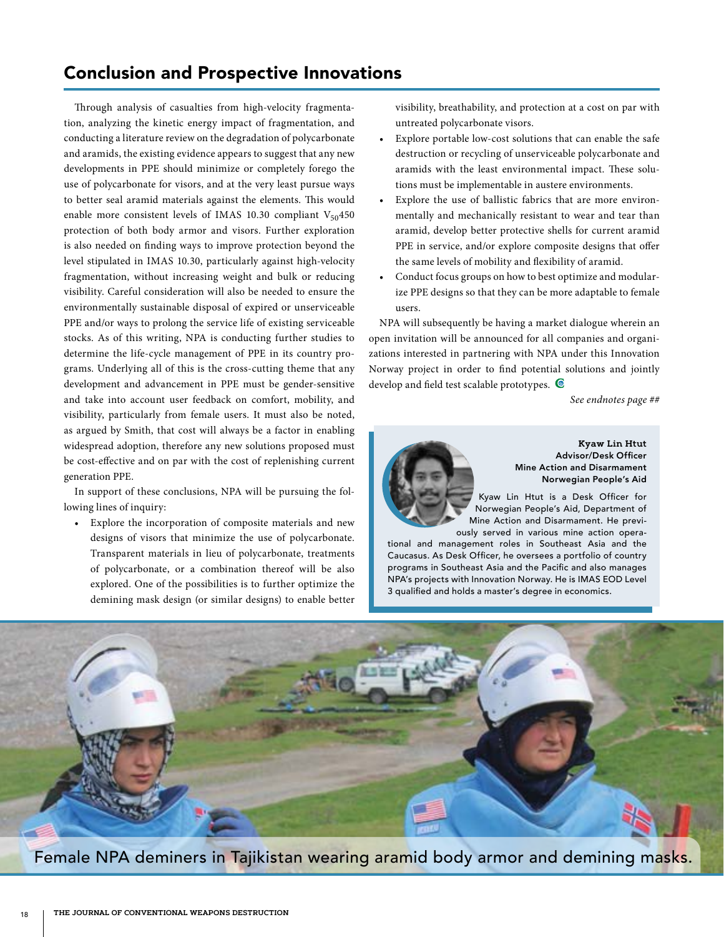### Conclusion and Prospective Innovations

Through analysis of casualties from high-velocity fragmentation, analyzing the kinetic energy impact of fragmentation, and conducting a literature review on the degradation of polycarbonate and aramids, the existing evidence appears to suggest that any new developments in PPE should minimize or completely forego the use of polycarbonate for visors, and at the very least pursue ways to better seal aramid materials against the elements. This would enable more consistent levels of IMAS 10.30 compliant  $V_{50}$ 450 protection of both body armor and visors. Further exploration is also needed on finding ways to improve protection beyond the level stipulated in IMAS 10.30, particularly against high-velocity fragmentation, without increasing weight and bulk or reducing visibility. Careful consideration will also be needed to ensure the environmentally sustainable disposal of expired or unserviceable PPE and/or ways to prolong the service life of existing serviceable stocks. As of this writing, NPA is conducting further studies to determine the life-cycle management of PPE in its country programs. Underlying all of this is the cross-cutting theme that any development and advancement in PPE must be gender-sensitive and take into account user feedback on comfort, mobility, and visibility, particularly from female users. It must also be noted, as argued by Smith, that cost will always be a factor in enabling widespread adoption, therefore any new solutions proposed must be cost-effective and on par with the cost of replenishing current generation PPE.

In support of these conclusions, NPA will be pursuing the following lines of inquiry:

Explore the incorporation of composite materials and new designs of visors that minimize the use of polycarbonate. Transparent materials in lieu of polycarbonate, treatments of polycarbonate, or a combination thereof will be also explored. One of the possibilities is to further optimize the demining mask design (or similar designs) to enable better visibility, breathability, and protection at a cost on par with untreated polycarbonate visors.

- Explore portable low-cost solutions that can enable the safe destruction or recycling of unserviceable polycarbonate and aramids with the least environmental impact. These solutions must be implementable in austere environments.
- Explore the use of ballistic fabrics that are more environmentally and mechanically resistant to wear and tear than aramid, develop better protective shells for current aramid PPE in service, and/or explore composite designs that offer the same levels of mobility and flexibility of aramid.
- Conduct focus groups on how to best optimize and modularize PPE designs so that they can be more adaptable to female users.

NPA will subsequently be having a market dialogue wherein an open invitation will be announced for all companies and organizations interested in partnering with NPA under this Innovation Norway project in order to find potential solutions and jointly develop and field test scalable prototypes.  $\blacksquare$ 

*See endnotes page ##*



**Kyaw Lin Htut** Advisor/Desk Officer Mine Action and Disarmament Norwegian People's Aid

Kyaw Lin Htut is a Desk Officer for Norwegian People's Aid, Department of Mine Action and Disarmament. He previously served in various mine action opera-

tional and management roles in Southeast Asia and the Caucasus. As Desk Officer, he oversees a portfolio of country programs in Southeast Asia and the Pacific and also manages NPA's projects with Innovation Norway. He is IMAS EOD Level 3 qualified and holds a master's degree in economics.



Female NPA deminers in Tajikistan wearing aramid body armor and demining masks.